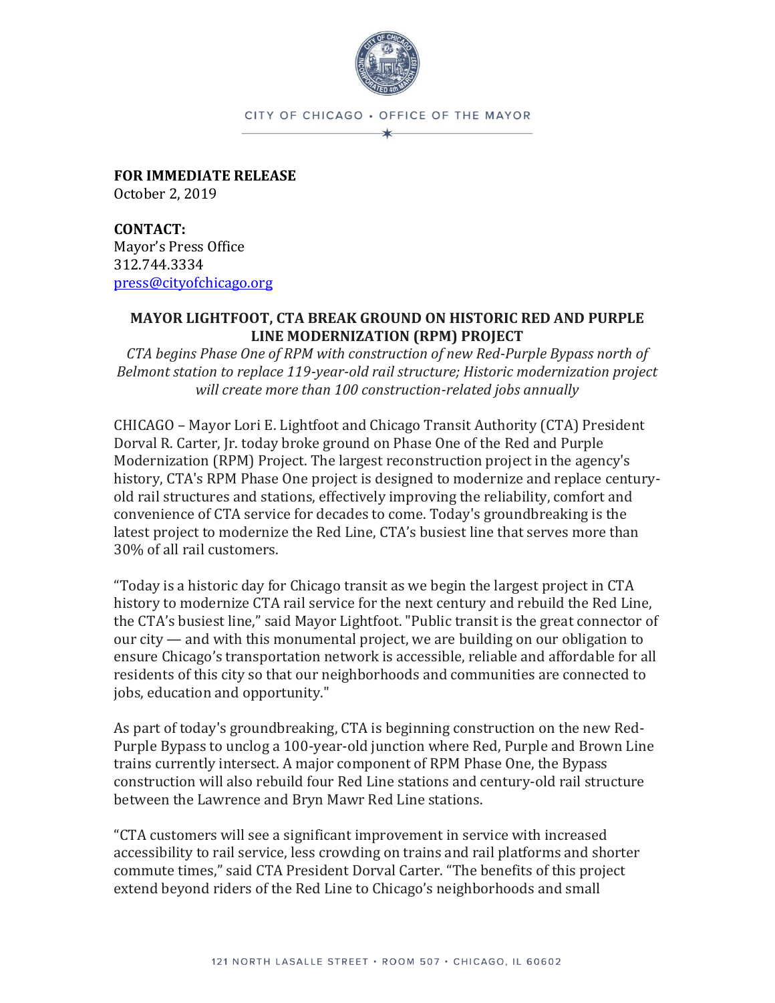

CITY OF CHICAGO . OFFICE OF THE MAYOR  $\star$ 

**FOR IMMEDIATE RELEASE** October 2, 2019

**CONTACT:** Mayor's Press Office 312.744.3334 [press@cityofchicago.org](mailto:press@cityofchicago.org)

## **MAYOR LIGHTFOOT, CTA BREAK GROUND ON HISTORIC RED AND PURPLE LINE MODERNIZATION (RPM) PROJECT**

*CTA begins Phase One of RPM with construction of new Red-Purple Bypass north of Belmont station to replace 119-year-old rail structure; Historic modernization project will create more than 100 construction-related jobs annually*

CHICAGO – Mayor Lori E. Lightfoot and Chicago Transit Authority (CTA) President Dorval R. Carter, Jr. today broke ground on Phase One of the Red and Purple Modernization (RPM) Project. The largest reconstruction project in the agency's history, CTA's RPM Phase One project is designed to modernize and replace centuryold rail structures and stations, effectively improving the reliability, comfort and convenience of CTA service for decades to come. Today's groundbreaking is the latest project to modernize the Red Line, CTA's busiest line that serves more than 30% of all rail customers.

"Today is a historic day for Chicago transit as we begin the largest project in CTA history to modernize CTA rail service for the next century and rebuild the Red Line, the CTA's busiest line," said Mayor Lightfoot. "Public transit is the great connector of our city — and with this monumental project, we are building on our obligation to ensure Chicago's transportation network is accessible, reliable and affordable for all residents of this city so that our neighborhoods and communities are connected to jobs, education and opportunity."

As part of today's groundbreaking, CTA is beginning construction on the new Red-Purple Bypass to unclog a 100-year-old junction where Red, Purple and Brown Line trains currently intersect. A major component of RPM Phase One, the Bypass construction will also rebuild four Red Line stations and century-old rail structure between the Lawrence and Bryn Mawr Red Line stations.

"CTA customers will see a significant improvement in service with increased accessibility to rail service, less crowding on trains and rail platforms and shorter commute times," said CTA President Dorval Carter. "The benefits of this project extend beyond riders of the Red Line to Chicago's neighborhoods and small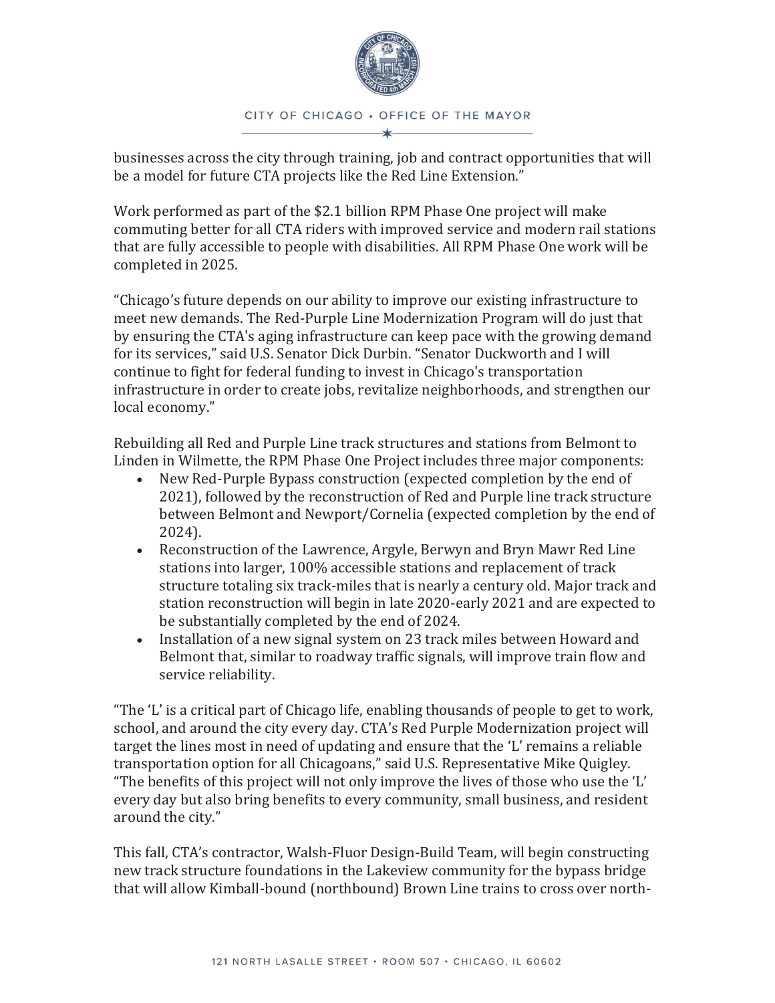

## CITY OF CHICAGO . OFFICE OF THE MAYOR

businesses across the city through training, job and contract opportunities that will be a model for future CTA projects like the Red Line Extension."

Work performed as part of the \$2.1 billion RPM Phase One project will make commuting better for all CTA riders with improved service and modern rail stations that are fully accessible to people with disabilities. All RPM Phase One work will be completed in 2025.

"Chicago's future depends on our ability to improve our existing infrastructure to meet new demands. The Red-Purple Line Modernization Program will do just that by ensuring the CTA's aging infrastructure can keep pace with the growing demand for its services," said U.S. Senator Dick Durbin. "Senator Duckworth and I will continue to fight for federal funding to invest in Chicago's transportation infrastructure in order to create jobs, revitalize neighborhoods, and strengthen our local economy."

Rebuilding all Red and Purple Line track structures and stations from Belmont to Linden in Wilmette, the RPM Phase One Project includes three major components:

- New Red-Purple Bypass construction (expected completion by the end of 2021), followed by the reconstruction of Red and Purple line track structure between Belmont and Newport/Cornelia (expected completion by the end of 2024).
- Reconstruction of the Lawrence, Argyle, Berwyn and Bryn Mawr Red Line stations into larger, 100% accessible stations and replacement of track structure totaling six track-miles that is nearly a century old. Major track and station reconstruction will begin in late 2020-early 2021 and are expected to be substantially completed by the end of 2024.
- Installation of a new signal system on 23 track miles between Howard and Belmont that, similar to roadway traffic signals, will improve train flow and service reliability.

"The 'L' is a critical part of Chicago life, enabling thousands of people to get to work, school, and around the city every day. CTA's Red Purple Modernization project will target the lines most in need of updating and ensure that the 'L' remains a reliable transportation option for all Chicagoans," said U.S. Representative Mike Quigley. "The benefits of this project will not only improve the lives of those who use the 'L' every day but also bring benefits to every community, small business, and resident around the city."

This fall, CTA's contractor, Walsh-Fluor Design-Build Team, will begin constructing new track structure foundations in the Lakeview community for the bypass bridge that will allow Kimball-bound (northbound) Brown Line trains to cross over north-